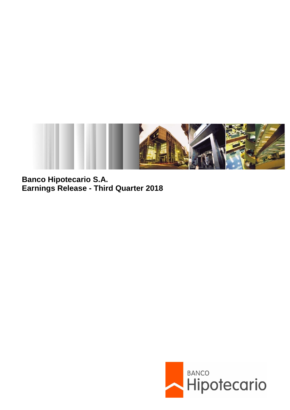

**Banco Hipotecario S.A. Earnings Release - Third Quarter 2018**

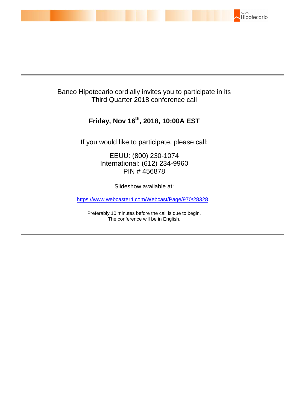

# Banco Hipotecario cordially invites you to participate in its Third Quarter 2018 conference call

# **Friday, Nov 16th , 2018, 10:00A EST**

If you would like to participate, please call:

EEUU: (800) 230-1074 International: (612) 234-9960 PIN # 456878

Slideshow available at:

<https://www.webcaster4.com/Webcast/Page/970/28328>

Preferably 10 minutes before the call is due to begin. The conference will be in English.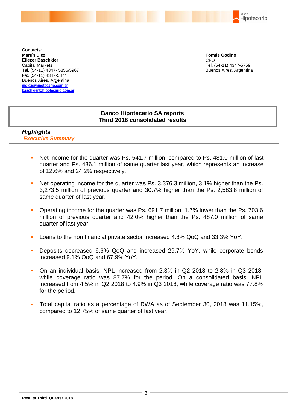BANCO Hipotecario

**Contacts**: **Martín Diez Eliezer Baschkier** Capital Markets Tel. (54-11) 4347- 5856/5967 Fax (54-11) 4347-5874 Buenos Aires, Argentina **mdiez@hipotecario.com.ar [baschkier@hipotecario.com.ar](mailto:baschkier@hipotecario.com.ar)**

**Tomás Godino** CFO Tel. (54-11) 4347-5759 Buenos Aires, Argentina

## **Banco Hipotecario SA reports Third 2018 consolidated results**

## *Highlights Executive Summary*

- Net income for the quarter was Ps. 541.7 million, compared to Ps. 481.0 million of last quarter and Ps. 436.1 million of same quarter last year, which represents an increase of 12.6% and 24.2% respectively.
- Net operating income for the quarter was Ps. 3,376.3 million, 3.1% higher than the Ps. 3,273.5 million of previous quarter and 30.7% higher than the Ps. 2,583.8 million of same quarter of last year.
- Operating income for the quarter was Ps. 691.7 million, 1.7% lower than the Ps. 703.6 million of previous quarter and 42.0% higher than the Ps. 487.0 million of same quarter of last year.
- Loans to the non financial private sector increased 4.8% QoQ and 33.3% YoY.
- Deposits decreased 6.6% QoQ and increased 29.7% YoY, while corporate bonds increased 9.1% QoQ and 67.9% YoY.
- On an individual basis, NPL increased from 2.3% in Q2 2018 to 2.8% in Q3 2018, while coverage ratio was 87.7% for the period. On a consolidated basis, NPL increased from 4.5% in Q2 2018 to 4.9% in Q3 2018, while coverage ratio was 77.8% for the period.
- Total capital ratio as a percentage of RWA as of September 30, 2018 was 11.15%, compared to 12.75% of same quarter of last year.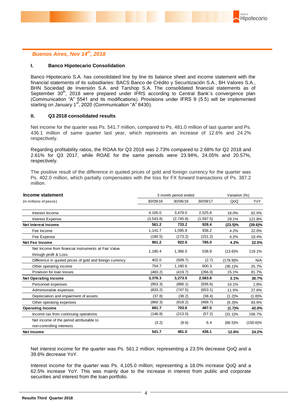

### *Buenos Aires, Nov 14th, 2018*

#### **I. Banco Hipotecario Consolidation**

Banco Hipotecario S.A. has consolidated line by line its balance sheet and income statement with the financial statements of its subsidiaries: BACS Banco de Crédito y Securitización S.A., BH Valores S.A., BHN Sociedad de Inversión S.A. and Tarshop S.A. The consolidated financial statements as of September 30<sup>th</sup>, 2018 were prepared under IFRS according to Central Bank's convergence plan (Communication "A" 5541 and its modifications). Provisions under IFRS 9 (5.5) will be implemented starting on January  $1<sup>st</sup>$ , 2020 (Communication "A" 6430).

#### **II. Q3 2018 consolidated results**

Net income for the quarter was Ps. 541.7 million, compared to Ps. 481.0 million of last quarter and Ps. 436.1 million of same quarter last year, which represents an increase of 12.6% and 24.2% respectively.

Regarding profitability ratios, the ROAA for Q3 2018 was 2.73% compared to 2.68% for Q2 2018 and 2.61% for Q3 2017, while ROAE for the same periods were 23.94%, 24.05% and 20.57%, respectively.

The positive result of the difference in quoted prices of gold and foreign currency for the quarter was Ps. 402.0 million, which partially compensates with the loss for FX forward transactions of Ps. 387.2 million.

| (in millions of pesos)                                   |           | 3 month period ended |           | Variation (%) |             |
|----------------------------------------------------------|-----------|----------------------|-----------|---------------|-------------|
|                                                          | 30/09/18  | 30/06/18             | 30/09/17  | QoQ           | YoY         |
| Interest Income                                          | 4,105.0   | 3,479.0              | 2,525.8   | 18.0%         | 62.5%       |
| Interest Expense                                         | (3,543.8) | (2,745.8)            | (1,597.5) | 29.1%         | 121.8%      |
| <b>Net Interest Income</b>                               | 561.2     | 733.2                | 928.4     | $(23.5)\%$    | $(39.6)\%$  |
| Fee Income                                               | 1,141.7   | 1,095.8              | 936.2     | 4.2%          | 22.0%       |
| Fee Expense                                              | (180.5)   | (173.2)              | (151.2)   | 4.2%          | 19.4%       |
| <b>Net Fee Income</b>                                    | 961.2     | 922.6                | 785.0     | 4.2%          | 22.5%       |
| Net Income from financial instruments at Fair Value      | 1,180.4   | 1,366.5              | 538.8     | $(13.6)\%$    | 119.1%      |
| through profit & Loss                                    |           |                      |           |               |             |
| Difference in quoted prices of gold and foreign currency | 402.0     | (509.7)              | (2.7)     | (178.9)%      | N/A         |
| Other operating income                                   | 754.7     | 1,180.6              | 600.3     | $(36.1)\%$    | 25.7%       |
| Provision for loan losses                                | (483.2)   | (419.7)              | (266.0)   | 15.1%         | 81.7%       |
| <b>Net Operating Income</b>                              | 3,376.3   | 3,273.5              | 2,583.8   | 3.1%          | 30.7%       |
| Personnel expenses                                       | (953.3)   | (866.1)              | (936.6)   | 10.1%         | 1.8%        |
| Administrative expenses                                  | (833.2)   | (747.5)              | (653.1)   | 11.5%         | 27.6%       |
| Depreciation and impairment of assets                    | (37.8)    | (38.2)               | (38.4)    | (1.2)%        | (1.8)%      |
| Other operating expenses                                 | (860.3)   | (918.2)              | (468.7)   | (6.3)%        | 83.6%       |
| <b>Operating Income</b>                                  | 691.7     | 703.6                | 487.0     | (1.7)%        | 42.0%       |
| Income tax from continuing operations                    | (146.8)   | (213.0)              | (57.2)    | $(31.1)\%$    | 156.7%      |
| Net income of the period attributable to                 |           |                      | 6.4       |               |             |
| non-controlling interests                                | (3.2)     | (9.6)                |           | $(66.5)\%$    | $(150.6)\%$ |
| <b>Net Income</b>                                        | 541.7     | 481.0                | 436.1     | 12.6%         | 24.2%       |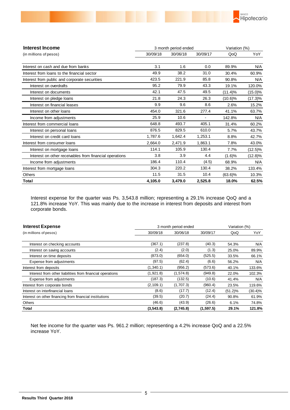

| Interest Income                                         |          | 3 month period ended |          | Variation (%) |            |  |
|---------------------------------------------------------|----------|----------------------|----------|---------------|------------|--|
| (in millions of pesos)                                  | 30/09/18 | 30/06/18             | 30/09/17 | QoQ           | YoY        |  |
| Interest on cash and due from banks                     | 3.1      | 1.6                  | 0.0      | 89.9%         | N/A        |  |
| Interest from loans to the financial sector             | 49.9     | 38.2                 | 31.0     | 30.4%         | 60.9%      |  |
| Interest from public and corporate securities           | 423.5    | 221.9                | 85.8     | 90.8%         | N/A        |  |
| Interest on overdrafts                                  | 95.2     | 79.9                 | 43.3     | 19.1%         | 120.0%     |  |
| Interest on documents                                   | 42.1     | 47.5                 | 49.5     | $(11.4)\%$    | $(15.0)\%$ |  |
| Interest on pledge loans                                | 21.8     | 24.3                 | 26.3     | $(10.6)\%$    | $(17.3)\%$ |  |
| Interest on financial leases                            | 9.9      | 9.6                  | 8.6      | 2.6%          | 15.2%      |  |
| Interest on other loans                                 | 454.0    | 321.6                | 277.4    | 41.1%         | 63.7%      |  |
| Income from adjustments                                 | 25.9     | 10.6                 |          | 142.8%        | N/A        |  |
| Interest from commercial loans                          | 648.8    | 493.7                | 405.1    | 31.4%         | 60.2%      |  |
| Interest on personal loans                              | 876.5    | 829.5                | 610.0    | 5.7%          | 43.7%      |  |
| Interest on credit card loans                           | 1.787.6  | 1,642.4              | 1,253.1  | 8.8%          | 42.7%      |  |
| Interest from consumer loans                            | 2,664.0  | 2,471.9              | 1,863.1  | 7.8%          | 43.0%      |  |
| Interest on mortgage loans                              | 114.1    | 105.9                | 130.4    | 7.7%          | $(12.5)\%$ |  |
| Interest on other receivables from financial operations | 3.8      | 3.9                  | 4.4      | (1.6)%        | $(12.8)\%$ |  |
| Income from adjustments                                 | 186.4    | 110.4                | (4.5)    | 68.9%         | N/A        |  |
| Interest from mortgage loans                            | 304.3    | 220.2                | 130.4    | 38.2%         | 133.4%     |  |
| <b>Others</b>                                           | 11.5     | 31.5                 | 10.4     | $(63.6)\%$    | 10.3%      |  |
| Total                                                   | 4,105.0  | 3,479.0              | 2,525.8  | 18.0%         | 62.5%      |  |

Interest expense for the quarter was Ps. 3,543.8 million; representing a 29.1% increase QoQ and a 121.8% increase YoY. This was mainly due to the increase in interest from deposits and interest from corporate bonds.

| <b>Interest Expense</b>                                   | 3 month period ended | Variation (%) |            |            |            |
|-----------------------------------------------------------|----------------------|---------------|------------|------------|------------|
| (in millions of pesos)                                    | 30/09/18             | 30/06/18      | 30/09/17   | QoQ        | YoY        |
|                                                           |                      |               |            |            |            |
| Interest on checking accounts                             | (367.1)              | (237.8)       | (40.3)     | 54.3%      | N/A        |
| Interest on saving accounts                               | (2.4)                | (2.0)         | (1.3)      | 25.0%      | 89.9%      |
| Interest on time deposits                                 | (873.0)              | (654.0)       | (525.5)    | 33.5%      | 66.1%      |
| Expense from adjustments                                  | (97.5)               | (62.4)        | (6.6)      | 56.2%      | N/A        |
| Interest from deposits                                    | (1,340.1)            | (956.2)       | (573.6)    | 40.1%      | 133.6%     |
| Interest from other liabilities from financial operations | (1,921.8)            | (1,574.8)     | (949.8)    | 22.0%      | 102.3%     |
| Expense from adjustments                                  | (187.3)              | (132.5)       | (10.6)     | 41.4%      | N/A        |
| Interest from corporate bonds                             | (2, 109.1)           | (1,707.3)     | (960.4)    | 23.5%      | 119.6%     |
| Interest on interfinancial loans                          | (8.6)                | (17.7)        | (12.4)     | $(51.2)\%$ | $(30.4)\%$ |
| Interest on other financing from financial institutions   | (39.5)               | (20.7)        | (24.4)     | 90.8%      | 61.9%      |
| Others                                                    | (46.6)               | (43.9)        | (26.6)     | 6.1%       | 74.8%      |
| Total                                                     | (3,543.8)            | (2,745.8)     | (1, 597.5) | 29.1%      | 121.8%     |

Net fee income for the quarter was Ps. 961.2 million; representing a 4.2% increase QoQ and a 22.5% increase YoY.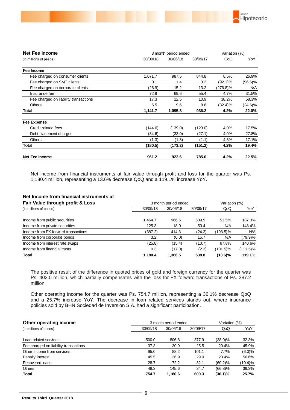

| <b>Net Fee Income</b>                 |          | 3 month period ended |          |             |            |
|---------------------------------------|----------|----------------------|----------|-------------|------------|
| (in millions of pesos)                | 30/09/18 | 30/06/18             | 30/09/17 | QoQ         | YoY        |
| Fee Income                            |          |                      |          |             |            |
| Fee charged on consumer clients       | 1,071.7  | 987.5                | 844.8    | 8.5%        | 26.9%      |
| Fee charged on SME clients            | 0.1      | 1.4                  | 3.2      | (92.1)%     | $(96.6)\%$ |
| Fee charged on corporate clients      | (26.9)   | 15.2                 | 13.2     | $(276.8)\%$ | N/A        |
| Insurance fee                         | 72.9     | 69.6                 | 55.4     | 4.7%        | 31.5%      |
| Fee charged on liability transactions | 17.3     | 12.5                 | 10.9     | 38.2%       | 58.3%      |
| <b>Others</b>                         | 6.5      | 9.6                  | 8.6      | (32.4)%     | $(24.6)\%$ |
| Total                                 | 1,141.7  | 1,095.8              | 936.2    | 4.2%        | 22.0%      |
| <b>Fee Expense</b>                    |          |                      |          |             |            |
| Credit related fees                   | (144.6)  | (139.0)              | (123.0)  | 4.0%        | 17.5%      |
| Debt placement charges                | (34.6)   | (33.0)               | (27.1)   | 4.9%        | 27.8%      |
| <b>Others</b>                         | (1.3)    | (1.3)                | (1.1)    | 4.3%        | 17.1%      |
| Total                                 | (180.5)  | (173.2)              | (151.2)  | 4.2%        | 19.4%      |
| Net Fee Income                        | 961.2    | 922.6                | 785.0    | 4.2%        | 22.5%      |

Net income from financial instruments at fair value through profit and loss for the quarter was Ps. 1,180.4 million, representing a 13.6% decrease QoQ and a 119.1% increase YoY.

#### **Net Income from financial instruments at**

| Fair Value through profit & Loss    | 3 month period ended | Variation (%) |          |            |            |
|-------------------------------------|----------------------|---------------|----------|------------|------------|
| (in millions of pesos)              | 30/09/18             | 30/06/18      | 30/09/17 | QoQ        | YoY        |
|                                     |                      |               |          |            |            |
| Income from public securities       | 1.464.7              | 966.6         | 509.9    | 51.5%      | 187.3%     |
| Income from private securities      | 125.3                | 18.0          | 50.4     | N/A        | 148.4%     |
| Income from FX forward transactions | (387.2)              | 414.3         | (24.3)   | 193.5)%    | <b>N/A</b> |
| Income from corporate bonds         | 3.2                  | (0.0)         | 15.7     | <b>N/A</b> | $(79.9)\%$ |
| Income from interest rate swaps     | (25.8)               | (15.4)        | (10.7)   | 67.8%      | 140.6%     |
| Income from financial trusts        | 0.3                  | (17.0)        | (2.3)    | (101.5)%   | (111.5)%   |
| <b>Total</b>                        | 1.180.4              | 1.366.5       | 538.8    | $(13.6)\%$ | 119.1%     |

The positive result of the difference in quoted prices of gold and foreign currency for the quarter was Ps. 402.0 million, which partially compensates with the loss for FX forward transactions of Ps. 387.2 million.

Other operating income for the quarter was Ps. 754.7 million, representing a 36.1% decrease QoQ and a 25.7% increase YoY. The decrease in loan related services stands out, where insurance policies sold by BHN Sociedad de Inversión S.A. had a significant participation.

| Other operating income                |          | 3 month period ended |          |            |            |
|---------------------------------------|----------|----------------------|----------|------------|------------|
| (in millions of pesos)                | 30/09/18 | 30/06/18             | 30/09/17 | QoQ        | YoY        |
|                                       |          |                      |          |            |            |
| Loan related services                 | 500.0    | 806.8                | 377.9    | (38.0)%    | 32.3%      |
| Fee charged on liability transactions | 37.3     | 30.9                 | 25.5     | 20.4%      | 45.9%      |
| Other income from services            | 95.0     | 88.2                 | 101.1    | 7.7%       | (6.0)%     |
| Penalty interest                      | 45.5     | 36.9                 | 29.0     | 23.4%      | 56.6%      |
| Recovered loans                       | 28.7     | 72.2                 | 32.1     | (60.2)%    | $(10.4)\%$ |
| <b>Others</b>                         | 48.3     | 145.6                | 34.7     | $(66.8)$ % | 39.3%      |
| <b>Total</b>                          | 754.7    | 1.180.6              | 600.3    | (36.1)%    | 25.7%      |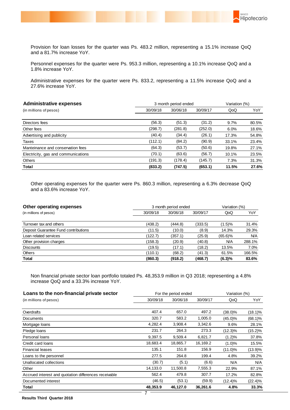

Provision for loan losses for the quarter was Ps. 483.2 million, representing a 15.1% increase QoQ and a 81.7% increase YoY.

Personnel expenses for the quarter were Ps. 953.3 million, representing a 10.1% increase QoQ and a 1.8% increase YoY.

Administrative expenses for the quarter were Ps. 833.2, representing a 11.5% increase QoQ and a 27.6% increase YoY.

| <b>Administrative expenses</b><br>3 month period ended |          |          |          | Variation (%) |       |  |
|--------------------------------------------------------|----------|----------|----------|---------------|-------|--|
| (in millions of pesos)                                 | 30/09/18 | 30/06/18 | 30/09/17 | QoQ           | YoY   |  |
|                                                        |          |          |          |               |       |  |
| Directors fees                                         | (56.3)   | (51.3)   | (31.2)   | 9.7%          | 80.5% |  |
| Other fees                                             | (298.7)  | (281.8)  | (252.0)  | 6.0%          | 18.6% |  |
| Advertising and publicity                              | (40.4)   | (34.4)   | (26.1)   | 17.3%         | 54.8% |  |
| Taxes                                                  | (112.1)  | (84.2)   | (90.9)   | 33.1%         | 23.4% |  |
| Manteinance and conservation fees                      | (64.3)   | (53.7)   | (50.6)   | 19.8%         | 27.1% |  |
| Electricity, gas and communications                    | (70.1)   | (63.6)   | (56.7)   | 10.1%         | 23.5% |  |
| <b>Others</b>                                          | (191.3)  | (178.4)  | (145.7)  | 7.3%          | 31.3% |  |
| Total                                                  | (833.2)  | (747.5)  | (653.1)  | 11.5%         | 27.6% |  |

Other operating expenses for the quarter were Ps. 860.3 million, representing a 6.3% decrease QoQ and a 83.6% increase YoY.

| Other operating expenses             | 3 month period ended | Variation (%) |          |         |            |
|--------------------------------------|----------------------|---------------|----------|---------|------------|
| (in millions of pesos)               | 30/09/18             | 30/06/18      | 30/09/17 | QoQ     | YoY        |
| Turnover tax and others              | (438.2)              | (444.8)       | (333.5)  | (1.5)%  | 31.4%      |
| Deposit Guarantee Fund contributions | (11.5)               | (10.0)        | (8.9)    | 14.3%   | 29.3%      |
| Loan related services                | (122.7)              | (357.1)       | (25.9)   | (65.6)% | <b>N/A</b> |
| Other provision charges              | (158.3)              | (20.9)        | (40.8)   | N/A     | 288.1%     |
| <b>Discounts</b>                     | (19.5)               | (17.1)        | (18.2)   | 13.5%   | 7.0%       |
| <b>Others</b>                        | (110.1)              | (68.2)        | (41.3)   | 61.5%   | 166.5%     |
| Total                                | (860.3)              | (918.2)       | (468.7)  | (6.3)%  | 83.6%      |

Non financial private sector loan portfolio totaled Ps. 48,353.9 million in Q3 2018; representing a 4.8% increase QoQ and a 33.3% increase YoY.

| Loans to the non-financial private sector<br>For the period ended |          |          |          |            | Variation (%) |
|-------------------------------------------------------------------|----------|----------|----------|------------|---------------|
| (in millions of pesos)                                            | 30/09/18 | 30/06/18 | 30/09/17 | QoQ        | YoY           |
|                                                                   |          |          |          |            |               |
| Overdrafts                                                        | 407.4    | 657.0    | 497.2    | (38.0)%    | (18.1)%       |
| Documents                                                         | 320.7    | 583.2    | 1,005.0  | $(45.0)\%$ | $(68.1)\%$    |
| Mortgage loans                                                    | 4,282.4  | 3,908.4  | 3,342.6  | 9.6%       | 28.1%         |
| Pledge loans                                                      | 231.7    | 264.3    | 273.3    | $(12.3)\%$ | $(15.2)\%$    |
| Personal loans                                                    | 9,397.5  | 9,509.4  | 6,821.7  | (1.2)%     | 37.8%         |
| Credit card loans                                                 | 18,683.4 | 18,865.7 | 16,169.2 | (1.0)%     | 15.5%         |
| <b>Financial leases</b>                                           | 135.1    | 151.8    | 156.9    | $(11.0)\%$ | (13.9)%       |
| Loans to the personnel                                            | 277.5    | 264.8    | 199.4    | 4.8%       | 39.2%         |
| Unallocated collections                                           | (30.7)   | (5.1)    | (6.6)    | N/A        | N/A           |
| Other                                                             | 14,133.0 | 11,500.8 | 7,555.3  | 22.9%      | 87.1%         |
| Accrued interest and quotation differences receivable             | 562.4    | 479.8    | 307.7    | 17.2%      | 82.8%         |
| Documented interest                                               | (46.5)   | (53.1)   | (59.9)   | $(12.4)\%$ | $(22.4)\%$    |
| Total                                                             | 48,353.9 | 46,127.0 | 36,261.6 | 4.8%       | 33.3%         |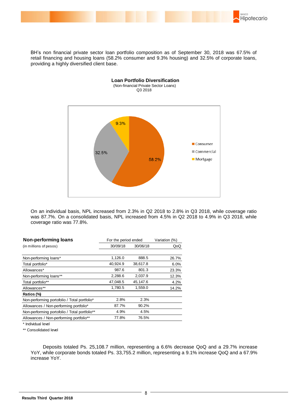

BH's non financial private sector loan portfolio composition as of September 30, 2018 was 67.5% of retail financing and housing loans (58.2% consumer and 9.3% housing) and 32.5% of corporate loans, providing a highly diversified client base.



On an individual basis, NPL increased from 2.3% in Q2 2018 to 2.8% in Q3 2018, while coverage ratio was 87.7%. On a consolidated basis, NPL increased from 4.5% in Q2 2018 to 4.9% in Q3 2018, while coverage ratio was 77.8%.

| Non-performing loans                          |          | For the period ended |       |  |
|-----------------------------------------------|----------|----------------------|-------|--|
| (in millions of pesos)                        | 30/09/18 | 30/06/18             | QoQ   |  |
|                                               |          |                      |       |  |
| Non-performing loans*                         | 1,126.0  | 888.5                | 26.7% |  |
| Total portfolio*                              | 40,924.9 | 38,617.8             | 6.0%  |  |
| Allowances*                                   | 987.6    | 801.3                | 23.3% |  |
| Non-performing loans**                        | 2,288.6  | 2,037.9              | 12.3% |  |
| Total portfolio**                             | 47,048.5 | 45,147.6             | 4.2%  |  |
| Allowances**                                  | 1,780.5  | 1,559.0              | 14.2% |  |
| Ratios (%)                                    |          |                      |       |  |
| Non-performing portofolio / Total portfolio*  | 2.8%     | 2.3%                 |       |  |
| Allowances / Non-performing portfolio*        | 87.7%    | 90.2%                |       |  |
| Non-performing portofolio / Total portfolio** | 4.9%     | 4.5%                 |       |  |
| Allowances / Non-performing portfolio**       | 77.8%    | 76.5%                |       |  |

\* Individual level

\*\* Consolidated level

 Deposits totaled Ps. 25,108.7 million, representing a 6.6% decrease QoQ and a 29.7% increase YoY, while corporate bonds totaled Ps. 33,755.2 million, representing a 9.1% increase QoQ and a 67.9% increase YoY.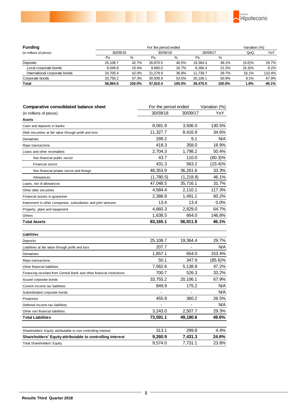

| <b>Funding</b>                | For the period ended |        |          |        |          |        | Variation (%) |        |
|-------------------------------|----------------------|--------|----------|--------|----------|--------|---------------|--------|
| (in millions of pesos)        | 30/09/18<br>30/06/18 |        | 30/09/17 |        |          | QoQ    | YoY           |        |
|                               | Ps.                  | %      | Ps.      | $\%$   | Ps.      | %      |               |        |
| Deposits                      | 25,108.7             | 42.7%  | 26.870.5 | 46.5%  | 19.364.4 | 49.1%  | (6.6)%        | 29.7%  |
| Local corporate bonds         | 9.049.8              | 15.4%  | 9.660.0  | 16.7%  | 8.366.4  | 21.2%  | (6.3)%        | 8.2%   |
| International corporate bonds | 24.705.4             | 42.0%  | 21.279.9 | 36.8%  | 11.739.7 | 29.7%  | 16.1%         | 110.4% |
| Corporate bonds               | 33.755.2             | 57.3%  | 30.939.9 | 53.5%  | 20.106.1 | 50.9%  | 9.1%          | 67.9%  |
| <b>Total</b>                  | 58.864.0             | 100.0% | 57.810.4 | 100.0% | 39.470.5 | 100.0% | 1.8%          | 49.1%  |

| <b>Comparative consolidated balance sheet</b>                         | For the period ended | Variation (%) |            |
|-----------------------------------------------------------------------|----------------------|---------------|------------|
| (in millions of pesos)                                                | 30/09/18             | 30/09/17      | YoY        |
| <b>Assets</b>                                                         |                      |               |            |
| Cash and deposits in banks                                            | 8,081.9              | 3,506.0       | 130.5%     |
| Debt securities at fair value through profit and loss                 | 11,327.7             | 8,416.9       | 34.6%      |
| Derivatives                                                           | 299.2                | 9.1           | <b>N/A</b> |
| Repo transactions                                                     | 418.3                | 358.0         | 16.9%      |
| Loans and other receivables                                           | 2,704.3              | 1,798.2       | 50.4%      |
| Non financial public sector                                           | 43.7                 | 110.0         | $(60.3)\%$ |
| Financial sector                                                      | 431.3                | 563.2         | $(23.4)\%$ |
| Non financial private sector and foreign                              | 48,353.9             | 36,261.6      | 33.3%      |
| Allowances                                                            | (1,780.5)            | (1, 218.8)    | 46.1%      |
| Loans, net of allowances                                              | 47,048.5             | 35,716.1      | 31.7%      |
| Other debt securities                                                 | 4,584.4              | 2,110.1       | 117.3%     |
| Financial assets in guarantee                                         | 2,388.8              | 1,491.1       | 60.2%      |
| Investment in other companies, subsidiaries and joint ventures        | 13.4                 | 13.4          | $0.0\%$    |
| Property, plant and equipment                                         | 4,660.3              | 2,829.0       | 64.7%      |
| Others                                                                | 1,638.5              | 664.0         | 146.8%     |
| <b>Total Assets</b>                                                   | 83,165.1             | 56,911.8      | 46.1%      |
|                                                                       |                      |               |            |
| <b>Liabilities</b>                                                    |                      |               |            |
| Deposits                                                              | 25,108.7             | 19,364.4      | 29.7%      |
| Liabilities at fair value through profit and loss                     | 207.7                |               | N/A        |
| Derivatives                                                           | 1,657.1              | 654.0         | 153.4%     |
| Repo transactions                                                     | 50.1                 | 347.9         | $(85.6)\%$ |
| Other financial liabilities                                           | 7,562.6              | 5,138.8       | 47.2%      |
| Financing received from Central Bank and other financial institutions | 700.7                | 526.3         | 33.2%      |
| Issued corporate bonds                                                | 33,755.2             | 20,106.1      | 67.9%      |
| Current income tax liabilities                                        | 849.9                | 175.2         | N/A        |
| Subordinated corporate bonds                                          |                      |               | <b>N/A</b> |
| Provisions                                                            | 455.9                | 360.2         | 26.5%      |
| Deferred income tax liabilities                                       |                      |               | N/A        |
| Other non financial liabilities                                       | 3,243.0              | 2,507.7       | 29.3%      |
| <b>Total Liabilities</b>                                              | 73,591.1             | 49,180.6      | 49.6%      |
|                                                                       |                      |               |            |
| Shareholders' Equity attributable to non controlling interest         | 313.1                | 299.8         | 4.4%       |
| Shareholders' Equity attributable to controlling interest             | 9,260.9              | 7,431.3       | 24.6%      |

Total Shareholders' Equity 9,574.0 7,731.1 23.8%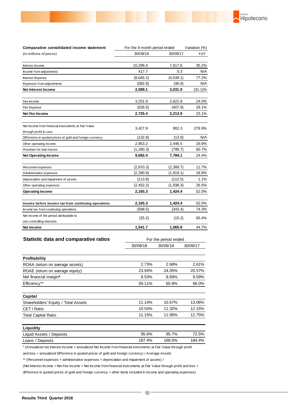

#### **Statistic data and comparative ratios**

|                                     | 30/09/18 | 30/06/18 | 30/09/17 |
|-------------------------------------|----------|----------|----------|
| Profitability                       |          |          |          |
| ROAA (return on average assets)     | 2.73%    | 2.68%    | 2.61%    |
| ROAE (return on average equity)     | 23.94%   | 24.05%   | 20.57%   |
| Net financial margin*               | 9.53%    | 8.69%    | 9.59%    |
| Efficiency**                        | 59.11%   | 60.8%    | 66.0%    |
| Capital                             |          |          |          |
| Shareholders' Equity / Total Assets | 11.14%   | 10.67%   | 13.06%   |
| CET I Ratio                         | 10.54%   | 11.32%   | 12.15%   |
| <b>Total Capital Ratio</b>          | 11.15%   | 11.95%   | 12.75%   |
| Liquidity                           |          |          |          |
| Liquid Assets / Deposits            | 95.6%    | 95.7%    | 72.5%    |
| Loans / Deposits                    | 187.4%   | 168.0%   | 184.4%   |

\* (Annualized net interest income + annualized Net Income from financial instruments at Fair Value through profit

and loss + annualized Difference in quoted prices of gold and foreign currency) / Average Assets

\*\* (Personnel expenses + administrative expenses + depreciation and impairment of assets) /

(Net Interest Income + Net Fee Income + Net Income from financial instruments at Fair Value through profit and loss + difference in quoted prices of gold and foreign currency + other items included in income and operating expenses)

For the period ended

BANCO

Hipotecario